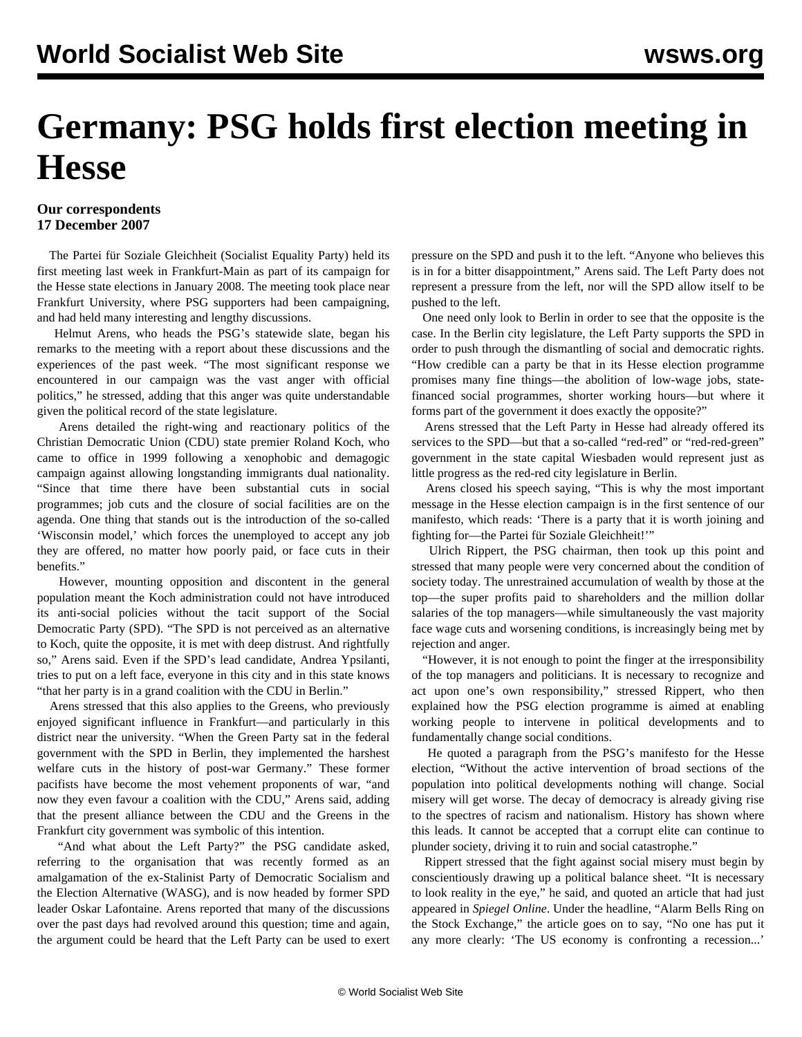## **Germany: PSG holds first election meeting in Hesse**

## **Our correspondents 17 December 2007**

 The Partei für Soziale Gleichheit (Socialist Equality Party) held its first meeting last week in Frankfurt-Main as part of its campaign for the Hesse state elections in January 2008. The meeting took place near Frankfurt University, where PSG supporters had been campaigning, and had held many interesting and lengthy discussions.

 Helmut Arens, who heads the PSG's statewide slate, began his remarks to the meeting with a report about these discussions and the experiences of the past week. "The most significant response we encountered in our campaign was the vast anger with official politics," he stressed, adding that this anger was quite understandable given the political record of the state legislature.

 Arens detailed the right-wing and reactionary politics of the Christian Democratic Union (CDU) state premier Roland Koch, who came to office in 1999 following a xenophobic and demagogic campaign against allowing longstanding immigrants dual nationality. "Since that time there have been substantial cuts in social programmes; job cuts and the closure of social facilities are on the agenda. One thing that stands out is the introduction of the so-called 'Wisconsin model,' which forces the unemployed to accept any job they are offered, no matter how poorly paid, or face cuts in their benefits."

 However, mounting opposition and discontent in the general population meant the Koch administration could not have introduced its anti-social policies without the tacit support of the Social Democratic Party (SPD). "The SPD is not perceived as an alternative to Koch, quite the opposite, it is met with deep distrust. And rightfully so," Arens said. Even if the SPD's lead candidate, Andrea Ypsilanti, tries to put on a left face, everyone in this city and in this state knows "that her party is in a grand coalition with the CDU in Berlin."

 Arens stressed that this also applies to the Greens, who previously enjoyed significant influence in Frankfurt—and particularly in this district near the university. "When the Green Party sat in the federal government with the SPD in Berlin, they implemented the harshest welfare cuts in the history of post-war Germany." These former pacifists have become the most vehement proponents of war, "and now they even favour a coalition with the CDU," Arens said, adding that the present alliance between the CDU and the Greens in the Frankfurt city government was symbolic of this intention.

 "And what about the Left Party?" the PSG candidate asked, referring to the organisation that was recently formed as an amalgamation of the ex-Stalinist Party of Democratic Socialism and the Election Alternative (WASG), and is now headed by former SPD leader Oskar Lafontaine. Arens reported that many of the discussions over the past days had revolved around this question; time and again, the argument could be heard that the Left Party can be used to exert pressure on the SPD and push it to the left. "Anyone who believes this is in for a bitter disappointment," Arens said. The Left Party does not represent a pressure from the left, nor will the SPD allow itself to be pushed to the left.

 One need only look to Berlin in order to see that the opposite is the case. In the Berlin city legislature, the Left Party supports the SPD in order to push through the dismantling of social and democratic rights. "How credible can a party be that in its Hesse election programme promises many fine things—the abolition of low-wage jobs, statefinanced social programmes, shorter working hours—but where it forms part of the government it does exactly the opposite?"

 Arens stressed that the Left Party in Hesse had already offered its services to the SPD—but that a so-called "red-red" or "red-red-green" government in the state capital Wiesbaden would represent just as little progress as the red-red city legislature in Berlin.

 Arens closed his speech saying, "This is why the most important message in the Hesse election campaign is in the first sentence of our manifesto, which reads: 'There is a party that it is worth joining and fighting for—the Partei für Soziale Gleichheit!'"

 Ulrich Rippert, the PSG chairman, then took up this point and stressed that many people were very concerned about the condition of society today. The unrestrained accumulation of wealth by those at the top—the super profits paid to shareholders and the million dollar salaries of the top managers—while simultaneously the vast majority face wage cuts and worsening conditions, is increasingly being met by rejection and anger.

 "However, it is not enough to point the finger at the irresponsibility of the top managers and politicians. It is necessary to recognize and act upon one's own responsibility," stressed Rippert, who then explained how the PSG election programme is aimed at enabling working people to intervene in political developments and to fundamentally change social conditions.

 He quoted a paragraph from the PSG's manifesto for the Hesse election, "Without the active intervention of broad sections of the population into political developments nothing will change. Social misery will get worse. The decay of democracy is already giving rise to the spectres of racism and nationalism. History has shown where this leads. It cannot be accepted that a corrupt elite can continue to plunder society, driving it to ruin and social catastrophe."

 Rippert stressed that the fight against social misery must begin by conscientiously drawing up a political balance sheet. "It is necessary to look reality in the eye," he said, and quoted an article that had just appeared in *Spiegel Online*. Under the headline, "Alarm Bells Ring on the Stock Exchange," the article goes on to say, "No one has put it any more clearly: 'The US economy is confronting a recession...'